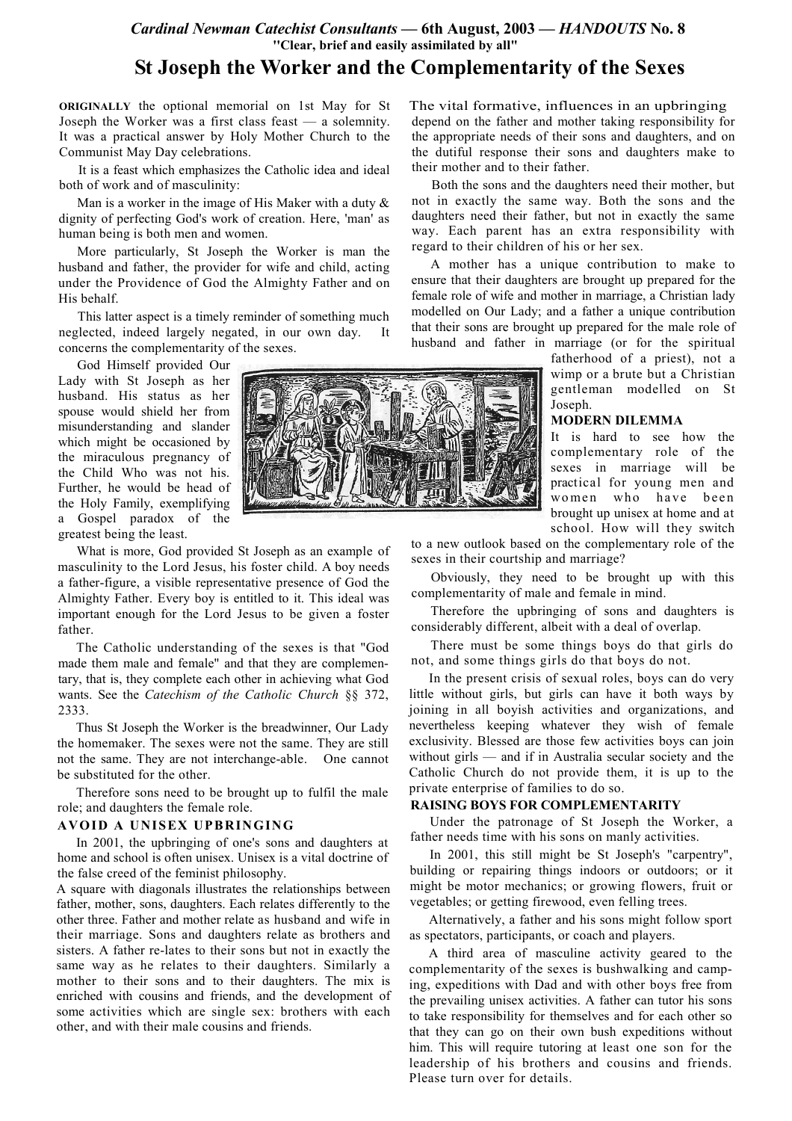## Cardinal Newman Catechist Consultants — 6th August, 2003 — HANDOUTS No. 8 "Clear, brief and easily assimilated by all"

# St Joseph the Worker and the Complementarity of the Sexes

ORIGINALLY the optional memorial on 1st May for St Joseph the Worker was a first class feast — a solemnity. It was a practical answer by Holy Mother Church to the Communist May Day celebrations.

It is a feast which emphasizes the Catholic idea and ideal both of work and of masculinity:

Man is a worker in the image of His Maker with a duty  $\&$ dignity of perfecting God's work of creation. Here, 'man' as human being is both men and women.

More particularly, St Joseph the Worker is man the husband and father, the provider for wife and child, acting under the Providence of God the Almighty Father and on His behalf.

This latter aspect is a timely reminder of something much neglected, indeed largely negated, in our own day. It concerns the complementarity of the sexes.

God Himself provided Our Lady with St Joseph as her husband. His status as her spouse would shield her from misunderstanding and slander which might be occasioned by the miraculous pregnancy of the Child Who was not his. Further, he would be head of the Holy Family, exemplifying a Gospel paradox of the greatest being the least.

What is more, God provided St Joseph as an example of masculinity to the Lord Jesus, his foster child. A boy needs a father-figure, a visible representative presence of God the Almighty Father. Every boy is entitled to it. This ideal was important enough for the Lord Jesus to be given a foster father.

The Catholic understanding of the sexes is that "God made them male and female" and that they are complementary, that is, they complete each other in achieving what God wants. See the Catechism of the Catholic Church §§ 372, 2333.

Thus St Joseph the Worker is the breadwinner, Our Lady the homemaker. The sexes were not the same. They are still not the same. They are not interchange-able. One cannot be substituted for the other.

Therefore sons need to be brought up to fulfil the male role; and daughters the female role.

### AVOID A UNISEX UPBRINGING

In 2001, the upbringing of one's sons and daughters at home and school is often unisex. Unisex is a vital doctrine of the false creed of the feminist philosophy.

A square with diagonals illustrates the relationships between father, mother, sons, daughters. Each relates differently to the other three. Father and mother relate as husband and wife in their marriage. Sons and daughters relate as brothers and sisters. A father re-lates to their sons but not in exactly the same way as he relates to their daughters. Similarly a mother to their sons and to their daughters. The mix is enriched with cousins and friends, and the development of some activities which are single sex: brothers with each other, and with their male cousins and friends.



The vital formative, influences in an upbringing depend on the father and mother taking responsibility for the appropriate needs of their sons and daughters, and on the dutiful response their sons and daughters make to their mother and to their father.

Both the sons and the daughters need their mother, but not in exactly the same way. Both the sons and the daughters need their father, but not in exactly the same way. Each parent has an extra responsibility with regard to their children of his or her sex.

A mother has a unique contribution to make to ensure that their daughters are brought up prepared for the female role of wife and mother in marriage, a Christian lady modelled on Our Lady; and a father a unique contribution that their sons are brought up prepared for the male role of husband and father in marriage (or for the spiritual

> fatherhood of a priest), not a wimp or a brute but a Christian gentleman modelled on St Joseph.

### **MODERN DILEMMA**

It is hard to see how the complementary role of the sexes in marriage will be practical for young men and women who have been brought up unisex at home and at school. How will they switch

to a new outlook based on the complementary role of the sexes in their courtship and marriage?

Obviously, they need to be brought up with this complementarity of male and female in mind.

Therefore the upbringing of sons and daughters is considerably different, albeit with a deal of overlap.

There must be some things boys do that girls do not, and some things girls do that boys do not.

In the present crisis of sexual roles, boys can do very little without girls, but girls can have it both ways by joining in all boyish activities and organizations, and nevertheless keeping whatever they wish of female exclusivity. Blessed are those few activities boys can join without  $girls$  — and if in Australia secular society and the Catholic Church do not provide them, it is up to the private enterprise of families to do so.

## **RAISING BOYS FOR COMPLEMENTARITY**

Under the patronage of St Joseph the Worker, a father needs time with his sons on manly activities.

In 2001, this still might be St Joseph's "carpentry". building or repairing things indoors or outdoors; or it might be motor mechanics; or growing flowers, fruit or vegetables; or getting firewood, even felling trees.

Alternatively, a father and his sons might follow sport as spectators, participants, or coach and players.

A third area of masculine activity geared to the complementarity of the sexes is bushwalking and camping, expeditions with Dad and with other boys free from the prevailing unisex activities. A father can tutor his sons to take responsibility for themselves and for each other so that they can go on their own bush expeditions without him. This will require tutoring at least one son for the leadership of his brothers and cousins and friends. Please turn over for details.